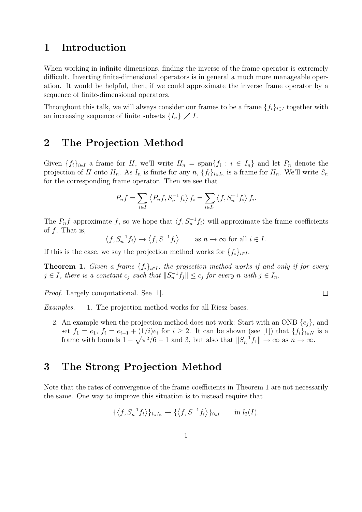## 1 Introduction

When working in infinite dimensions, finding the inverse of the frame operator is extremely difficult. Inverting finite-dimensional operators is in general a much more manageable operation. It would be helpful, then, if we could approximate the inverse frame operator by a sequence of finite-dimensional operators.

Throughout this talk, we will always consider our frames to be a frame  $\{f_i\}_{i\in I}$  together with an increasing sequence of finite subsets  $\{I_n\} \nearrow I$ .

## 2 The Projection Method

Given  $\{f_i\}_{i\in I}$  a frame for H, we'll write  $H_n = \text{span}\{f_i : i \in I_n\}$  and let  $P_n$  denote the projection of H onto  $H_n$ . As  $I_n$  is finite for any  $n, \{f_i\}_{i\in I_n}$  is a frame for  $H_n$ . We'll write  $S_n$ for the corresponding frame operator. Then we see that

$$
P_n f = \sum_{i \in I} \left\langle P_n f, S_n^{-1} f_i \right\rangle f_i = \sum_{i \in I_n} \left\langle f, S_n^{-1} f_i \right\rangle f_i.
$$

The  $P_n f$  approximate f, so we hope that  $\langle f, S_n^{-1} f_i \rangle$  will approximate the frame coefficients of  $f$ . That is,

 $\langle f, S_n^{-1} f_i \rangle \to \langle f, S^{-1} f_i \rangle$  as  $n \to \infty$  for all  $i \in I$ .

If this is the case, we say the projection method works for  ${f_i}_{i\in I}$ .

**Theorem 1.** Given a frame  $\{f_i\}_{i\in I}$ , the projection method works if and only if for every  $j \in I$ , there is a constant  $c_j$  such that  $||S_n^{-1}f_j|| \leq c_j$  for every n with  $j \in I_n$ .

Proof. Largely computational. See [1].

Examples. 1. The projection method works for all Riesz bases.

2. An example when the projection method does not work: Start with an ONB  $\{e_i\}$ , and set  $f_1 = e_1$ ,  $f_i = e_{i-1} + (1/i)e_i$  for  $i \geq 2$ . It can be shown (see [1]) that  $\{f_i\}_{i \in N}$  is a frame with bounds  $1 - \sqrt{\pi^2/6 - 1}$  and 3, but also that  $||S_n^{-1}f_1|| \to \infty$  as  $n \to \infty$ .

## 3 The Strong Projection Method

Note that the rates of convergence of the frame coefficients in Theorem 1 are not necessarily the same. One way to improve this situation is to instead require that

$$
\{\langle f, S_n^{-1}f_i \rangle\}_{i \in I_n} \to \{\langle f, S^{-1}f_i \rangle\}_{i \in I} \quad \text{in } l_2(I).
$$

 $\Box$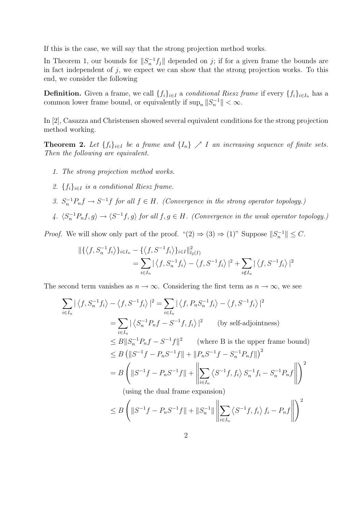If this is the case, we will say that the strong projection method works.

In Theorem 1, our bounds for  $||S_n^{-1}f_j||$  depended on j; if for a given frame the bounds are in fact independent of  $j$ , we expect we can show that the strong projection works. To this end, we consider the following

**Definition.** Given a frame, we call  $\{f_i\}_{i\in I}$  a *conditional Riesz frame* if every  $\{f_i\}_{i\in I_n}$  has a common lower frame bound, or equivalently if  $\sup_n ||S_n^{-1}|| < \infty$ .

In [2], Casazza and Christensen showed several equivalent conditions for the strong projection method working.

**Theorem 2.** Let  $\{f_i\}_{i\in I}$  be a frame and  $\{I_n\} \nearrow I$  an increasing sequence of finite sets. Then the following are equivalent.

- 1. The strong projection method works.
- 2.  ${f_i}_{i \in I}$  is a conditional Riesz frame.
- 3.  $S_n^{-1}P_nf \to S^{-1}f$  for all  $f \in H$ . (Convergence in the strong operator topology.)
- 4.  $\langle S_n^{-1}P_nf, g \rangle \to \langle S^{-1}f, g \rangle$  for all  $f, g \in H$ . (Convergence in the weak operator topology.)

*Proof.* We will show only part of the proof. " $(2) \Rightarrow (3) \Rightarrow (1)$ " Suppose  $||S_n^{-1}|| \leq C$ .

$$
\begin{split} \|\{\langle f, S_n^{-1}f_i \rangle\}_{i \in I_n} &= \{\langle f, S^{-1}f_i \rangle\}_{i \in I} \|^2_{l_2(I)} \\ &= \sum_{i \in I_n} |\langle f, S_n^{-1}f_i \rangle - \langle f, S^{-1}f_i \rangle|^2 + \sum_{i \notin I_n} |\langle f, S^{-1}f_i \rangle|^2 \end{split}
$$

The second term vanishes as  $n \to \infty$ . Considering the first term as  $n \to \infty$ , we see

$$
\sum_{i\in I_n} |\langle f, S_n^{-1}f_i \rangle - \langle f, S^{-1}f_i \rangle|^2 = \sum_{i\in I_n} |\langle f, P_n S_n^{-1}f_i \rangle - \langle f, S^{-1}f_i \rangle|^2
$$
  
\n
$$
= \sum_{i\in I_n} |\langle S_n^{-1}P_n f - S^{-1}f, f_i \rangle|^2 \qquad \text{(by self-adjointness)}
$$
  
\n
$$
\leq B ||S_n^{-1}P_nf - S^{-1}f||^2 \qquad \text{(where B is the upper frame bound)}
$$
  
\n
$$
\leq B (||S^{-1}f - P_nS^{-1}f|| + ||P_nS^{-1}f - S_n^{-1}P_nf||)^2
$$
  
\n
$$
= B \left( ||S^{-1}f - P_nS^{-1}f|| + \left\| \sum_{i\in I_n} \langle S^{-1}f, f_i \rangle S_n^{-1}f_i - S_n^{-1}P_nf \right\| \right)^2
$$
  
\n(using the dual frame expansion)  
\n
$$
\leq B \left( ||S^{-1}f - P_nS^{-1}f|| + ||S_n^{-1}|| \left\| \sum_{i\in I_n} \langle S^{-1}f, f_i \rangle f_i - P_nf \right\| \right)^2
$$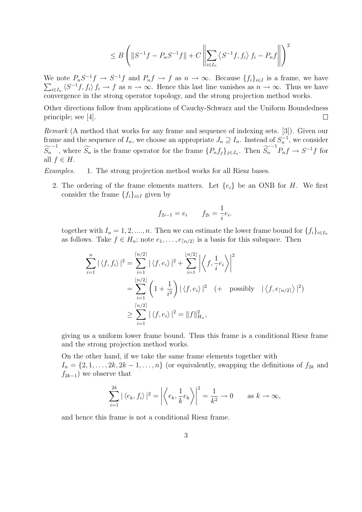$$
\leq B\left(\left\|S^{-1}f - P_nS^{-1}f\right\| + C\left\|\sum_{i\in I_n}\left\langle S^{-1}f, f_i\right\rangle f_i - P_nf\right\|\right)^2
$$

We note  $P_nS^{-1}f \to S^{-1}f$  and  $P_nf \to f$  as  $n \to \infty$ . Because  $\{f_i\}_{i\in I}$  is a frame, we have  $\sum_{i\in I_n} \langle S^{-1}f, f_i \rangle f_i \to f$  as  $n \to \infty$ . Hence this last line vanishes as  $n \to \infty$ . Thus we have convergence in the strong operator topology, and the strong projection method works.

Other directions follow from applications of Cauchy-Schwarz and the Uniform Boundedness  $\Box$ principle; see [4].

Remark (A method that works for any frame and sequence of indexing sets. [3]). Given our frame and the sequence of  $I_n$ , we choose an appropriate  $J_n \supseteq I_n$ . Instead of  $S_n^{-1}$ , we consider  $\widetilde{S}_n^{-1}$ , where  $\widetilde{S}_n$  is the frame operator for the frame  $\{P_n f_j\}_{j\in J_n}$ . Then  $\widetilde{S}_n^{-1}P_n f \to S^{-1}f$  for all  $f \in H$ .

Examples. 1. The strong projection method works for all Riesz bases.

2. The ordering of the frame elements matters. Let  $\{e_i\}$  be an ONB for H. We first consider the frame  $\{f_i\}_{i\in I}$  given by

$$
f_{2i-1} = e_i
$$
  $f_{2i} = \frac{1}{i}e_i$ .

together with  $I_n = 1, 2, ..., n$ . Then we can estimate the lower frame bound for  $\{f_i\}_{i \in I_n}$ as follows. Take  $f \in H_n$ ; note  $e_1, \ldots, e_{\lceil n/2 \rceil}$  is a basis for this subspace. Then

$$
\sum_{i=1}^{n} |\langle f, f_i \rangle|^2 = \sum_{i=1}^{\lceil n/2 \rceil} |\langle f, e_i \rangle|^2 + \sum_{i=1}^{\lfloor n/2 \rfloor} \left| \langle f, \frac{1}{i} e_i \rangle \right|^2
$$
  
= 
$$
\sum_{i=1}^{\lfloor n/2 \rfloor} \left( 1 + \frac{1}{i^2} \right) |\langle f, e_i \rangle|^2 \quad (+ \text{ possibly } |\langle f, e_{\lceil n/2 \rceil} \rangle|^2)
$$
  

$$
\ge \sum_{i=1}^{\lceil n/2 \rceil} |\langle f, e_i \rangle|^2 = \|f\|_{H_n}^2,
$$

giving us a uniform lower frame bound. Thus this frame is a conditional Riesz frame and the strong projection method works.

On the other hand, if we take the same frame elements together with  $I_n = \{2, 1, \ldots, 2k, 2k-1, \ldots, n\}$  (or equivalently, swapping the definitions of  $f_{2k}$  and  $f_{2k-1}$ ) we observe that

$$
\sum_{i=1}^{2k} |\langle e_k, f_i \rangle|^2 = \left| \left\langle e_k, \frac{1}{k} e_k \right\rangle \right|^2 = \frac{1}{k^2} \to 0 \quad \text{as } k \to \infty,
$$

and hence this frame is not a conditional Riesz frame.